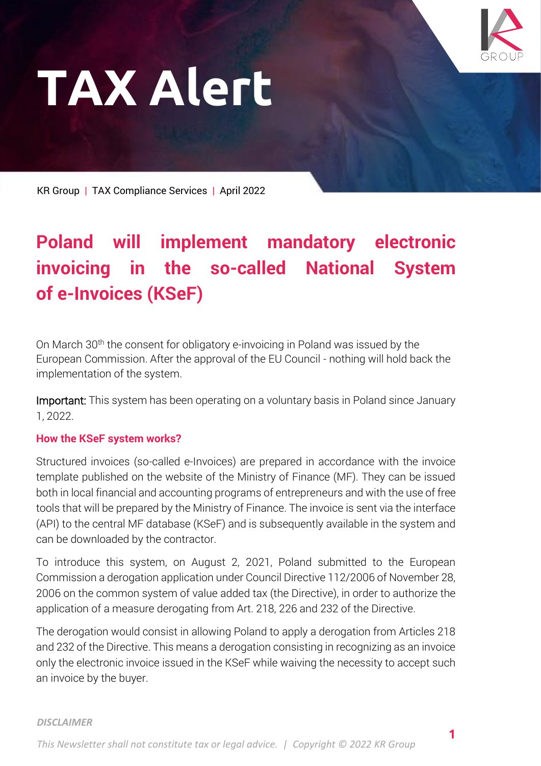

**1**

# **TAX Alert**

KR Group **|** TAX Compliance Services **|** April 2022

## **Poland will implement mandatory electronic invoicing in the so-called National System of e-Invoices (KSeF)**

On March 30<sup>th</sup> the consent for obligatory e-invoicing in Poland was issued by the European Commission. After the approval of the EU Council - nothing will hold back the implementation of the system.

Important: This system has been operating on a voluntary basis in Poland since January 1, 2022.

## **How the KSeF system works?**

Structured invoices (so-called e-Invoices) are prepared in accordance with the invoice template published on the website of the Ministry of Finance (MF). They can be issued both in local financial and accounting programs of entrepreneurs and with the use of free tools that will be prepared by the Ministry of Finance. The invoice is sent via the interface (API) to the central MF database (KSeF) and is subsequently available in the system and can be downloaded by the contractor.

To introduce this system, on August 2, 2021, Poland submitted to the European Commission a derogation application under Council Directive 112/2006 of November 28, 2006 on the common system of value added tax (the Directive), in order to authorize the application of a measure derogating from Art. 218, 226 and 232 of the Directive.

The derogation would consist in allowing Poland to apply a derogation from Articles 218 and 232 of the Directive. This means a derogation consisting in recognizing as an invoice only the electronic invoice issued in the KSeF while waiving the necessity to accept such an invoice by the buyer.

#### *DISCLAIMER*

*This Newsletter shall not constitute tax or legal advice. | Copyright © 2022 KR Group*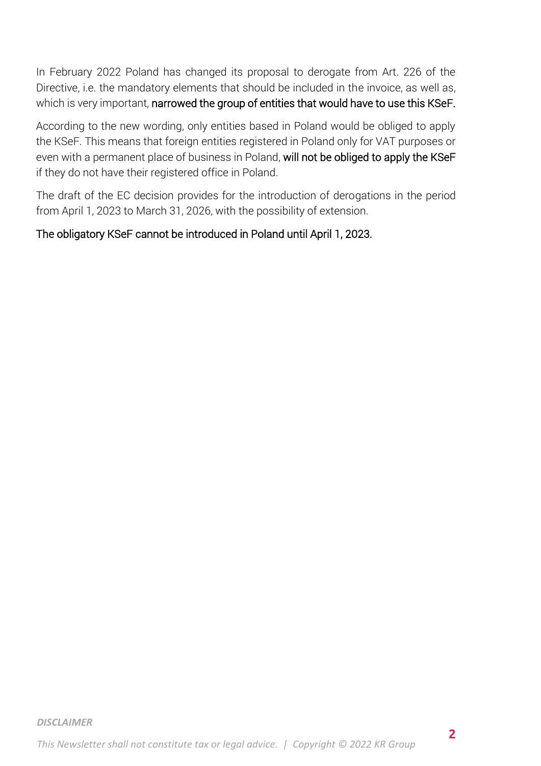In February 2022 Poland has changed its proposal to derogate from Art. 226 of the Directive, i.e. the mandatory elements that should be included in the invoice, as well as, which is very important, narrowed the group of entities that would have to use this KSeF.

According to the new wording, only entities based in Poland would be obliged to apply the KSeF. This means that foreign entities registered in Poland only for VAT purposes or even with a permanent place of business in Poland, will not be obliged to apply the KSeF if they do not have their registered office in Poland.

The draft of the EC decision provides for the introduction of derogations in the period from April 1, 2023 to March 31, 2026, with the possibility of extension.

## The obligatory KSeF cannot be introduced in Poland until April 1, 2023.